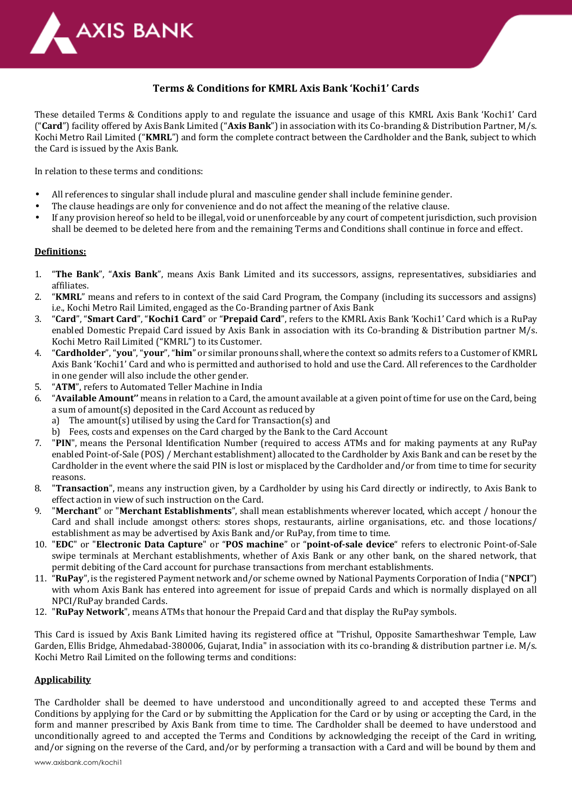

# **Terms & Conditions for KMRL Axis Bank 'Kochi1' Cards**

These detailed Terms & Conditions apply to and regulate the issuance and usage of this KMRL Axis Bank 'Kochi1' Card ("**Card**") facility offered by Axis Bank Limited ("**Axis Bank**") in association with its Co-branding & Distribution Partner, M/s. Kochi Metro Rail Limited ("**KMRL**") and form the complete contract between the Cardholder and the Bank, subject to which the Card is issued by the Axis Bank.

In relation to these terms and conditions:

- All references to singular shall include plural and masculine gender shall include feminine gender.
- The clause headings are only for convenience and do not affect the meaning of the relative clause.
- If any provision hereof so held to be illegal, void or unenforceable by any court of competent jurisdiction, such provision shall be deemed to be deleted here from and the remaining Terms and Conditions shall continue in force and effect.

## **Definitions:**

- 1. "**The Bank**", "**Axis Bank**", means Axis Bank Limited and its successors, assigns, representatives, subsidiaries and affiliates.
- 2. "**KMRL**" means and refers to in context of the said Card Program, the Company (including its successors and assigns) i.e., Kochi Metro Rail Limited, engaged as the Co-Branding partner of Axis Bank
- 3. "**Card**", "**Smart Card**", "**Kochi1 Card**" or "**Prepaid Card**", refers to the KMRL Axis Bank 'Kochi1' Card which is a RuPay enabled Domestic Prepaid Card issued by Axis Bank in association with its Co-branding & Distribution partner M/s. Kochi Metro Rail Limited ("KMRL") to its Customer.
- 4. "**Cardholder**", "**you**", "**your**", "**him**" or similar pronouns shall, where the context so admits refers to a Customer of KMRL Axis Bank 'Kochi1' Card and who is permitted and authorised to hold and use the Card. All references to the Cardholder in one gender will also include the other gender.
- 5. "**ATM**", refers to Automated Teller Machine in India
- 6. "**Available Amount''** means in relation to a Card, the amount available at a given point of time for use on the Card, being a sum of amount(s) deposited in the Card Account as reduced by
	- a) The amount(s) utilised by using the Card for Transaction(s) and
	- b) Fees, costs and expenses on the Card charged by the Bank to the Card Account
- 7. "**PIN**", means the Personal Identification Number (required to access ATMs and for making payments at any RuPay enabled Point-of-Sale (POS) / Merchant establishment) allocated to the Cardholder by Axis Bank and can be reset by the Cardholder in the event where the said PIN is lost or misplaced by the Cardholder and/or from time to time for security reasons.
- 8. "**Transaction**", means any instruction given, by a Cardholder by using his Card directly or indirectly, to Axis Bank to effect action in view of such instruction on the Card.
- 9. "**Merchant**" or "**Merchant Establishments**", shall mean establishments wherever located, which accept / honour the Card and shall include amongst others: stores shops, restaurants, airline organisations, etc. and those locations/ establishment as may be advertised by Axis Bank and/or RuPay, from time to time.
- 10. "**EDC**" or "**Electronic Data Capture**" or "**POS machine**" or "**point-of-sale device**" refers to electronic Point-of-Sale swipe terminals at Merchant establishments, whether of Axis Bank or any other bank, on the shared network, that permit debiting of the Card account for purchase transactions from merchant establishments.
- 11. "**RuPay**", is the registered Payment network and/or scheme owned by National Payments Corporation of India ("**NPCI**") with whom Axis Bank has entered into agreement for issue of prepaid Cards and which is normally displayed on all NPCI/RuPay branded Cards.
- 12. "**RuPay Network**", means ATMs that honour the Prepaid Card and that display the RuPay symbols.

This Card is issued by Axis Bank Limited having its registered office at "Trishul, Opposite Samartheshwar Temple, Law Garden, Ellis Bridge, Ahmedabad-380006, Gujarat, India" in association with its co-branding & distribution partner i.e. M/s. Kochi Metro Rail Limited on the following terms and conditions:

# **Applicability**

The Cardholder shall be deemed to have understood and unconditionally agreed to and accepted these Terms and Conditions by applying for the Card or by submitting the Application for the Card or by using or accepting the Card, in the form and manner prescribed by Axis Bank from time to time. The Cardholder shall be deemed to have understood and unconditionally agreed to and accepted the Terms and Conditions by acknowledging the receipt of the Card in writing, and/or signing on the reverse of the Card, and/or by performing a transaction with a Card and will be bound by them and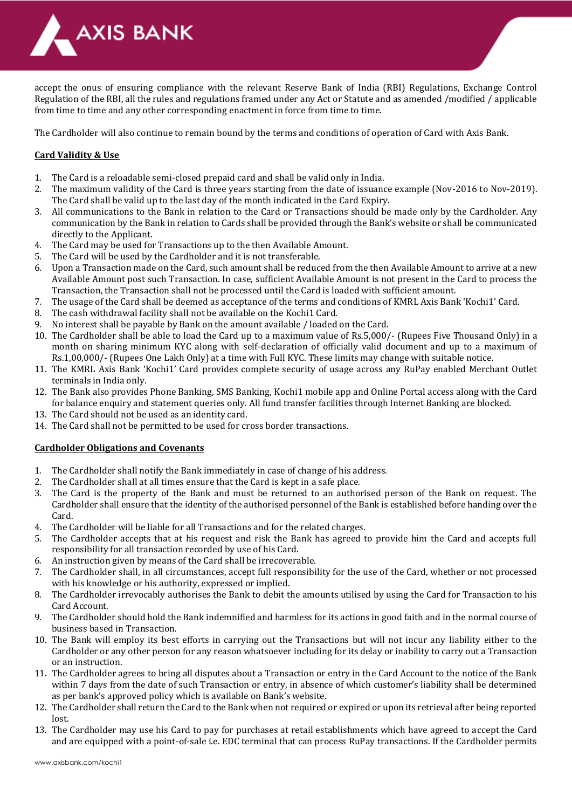

accept the onus of ensuring compliance with the relevant Reserve Bank of India (RBI) Regulations, Exchange Control Regulation of the RBI, all the rules and regulations framed under any Act or Statute and as amended /modified / applicable from time to time and any other corresponding enactment in force from time to time.

The Cardholder will also continue to remain bound by the terms and conditions of operation of Card with Axis Bank.

# **Card Validity & Use**

- 1. The Card is a reloadable semi-closed prepaid card and shall be valid only in India.
- 2. The maximum validity of the Card is three years starting from the date of issuance example (Nov-2016 to Nov-2019). The Card shall be valid up to the last day of the month indicated in the Card Expiry.
- 3. All communications to the Bank in relation to the Card or Transactions should be made only by the Cardholder. Any communication by the Bank in relation to Cards shall be provided through the Bank's website or shall be communicated directly to the Applicant.
- 4. The Card may be used for Transactions up to the then Available Amount.
- 5. The Card will be used by the Cardholder and it is not transferable.
- 6. Upon a Transaction made on the Card, such amount shall be reduced from the then Available Amount to arrive at a new Available Amount post such Transaction. In case, sufficient Available Amount is not present in the Card to process the Transaction, the Transaction shall not be processed until the Card is loaded with sufficient amount.
- 7. The usage of the Card shall be deemed as acceptance of the terms and conditions of KMRL Axis Bank 'Kochi1' Card.
- 8. The cash withdrawal facility shall not be available on the Kochi1 Card.
- 9. No interest shall be payable by Bank on the amount available / loaded on the Card.
- 10. The Cardholder shall be able to load the Card up to a maximum value of Rs.5,000/- (Rupees Five Thousand Only) in a month on sharing minimum KYC along with self-declaration of officially valid document and up to a maximum of Rs.1,00,000/- (Rupees One Lakh Only) at a time with Full KYC. These limits may change with suitable notice.
- 11. The KMRL Axis Bank 'Kochi1' Card provides complete security of usage across any RuPay enabled Merchant Outlet terminals in India only.
- 12. The Bank also provides Phone Banking, SMS Banking, Kochi1 mobile app and Online Portal access along with the Card for balance enquiry and statement queries only. All fund transfer facilities through Internet Banking are blocked.
- 13. The Card should not be used as an identity card.
- 14. The Card shall not be permitted to be used for cross border transactions.

# **Cardholder Obligations and Covenants**

- 1. The Cardholder shall notify the Bank immediately in case of change of his address.
- 2. The Cardholder shall at all times ensure that the Card is kept in a safe place.
- 3. The Card is the property of the Bank and must be returned to an authorised person of the Bank on request. The Cardholder shall ensure that the identity of the authorised personnel of the Bank is established before handing over the Card.
- 4. The Cardholder will be liable for all Transactions and for the related charges.
- 5. The Cardholder accepts that at his request and risk the Bank has agreed to provide him the Card and accepts full responsibility for all transaction recorded by use of his Card.
- 6. An instruction given by means of the Card shall be irrecoverable.
- 7. The Cardholder shall, in all circumstances, accept full responsibility for the use of the Card, whether or not processed with his knowledge or his authority, expressed or implied.
- 8. The Cardholder irrevocably authorises the Bank to debit the amounts utilised by using the Card for Transaction to his Card Account.
- 9. The Cardholder should hold the Bank indemnified and harmless for its actions in good faith and in the normal course of business based in Transaction.
- 10. The Bank will employ its best efforts in carrying out the Transactions but will not incur any liability either to the Cardholder or any other person for any reason whatsoever including for its delay or inability to carry out a Transaction or an instruction.
- 11. The Cardholder agrees to bring all disputes about a Transaction or entry in the Card Account to the notice of the Bank within 7 days from the date of such Transaction or entry, in absence of which customer's liability shall be determined as per bank's approved policy which is available on Bank's website.
- 12. The Cardholder shall return the Card to the Bank when not required or expired or upon its retrieval after being reported lost
- 13. The Cardholder may use his Card to pay for purchases at retail establishments which have agreed to accept the Card and are equipped with a point-of-sale i.e. EDC terminal that can process RuPay transactions. If the Cardholder permits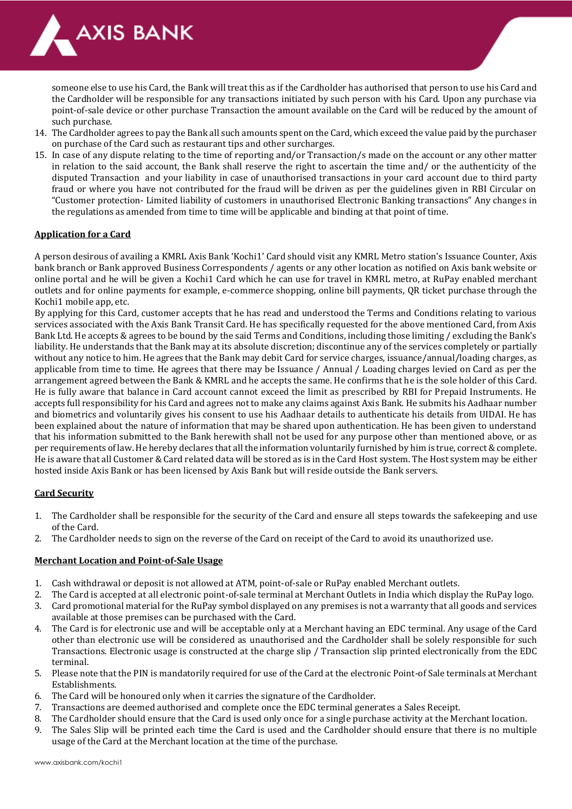

someone else to use his Card, the Bank will treat this as if the Cardholder has authorised that person to use his Card and the Cardholder will be responsible for any transactions initiated by such person with his Card. Upon any purchase via point-of-sale device or other purchase Transaction the amount available on the Card will be reduced by the amount of such purchase.

- 14. The Cardholder agrees to pay the Bank all such amounts spent on the Card, which exceed the value paid by the purchaser on purchase of the Card such as restaurant tips and other surcharges.
- 15. In case of any dispute relating to the time of reporting and/or Transaction/s made on the account or any other matter in relation to the said account, the Bank shall reserve the right to ascertain the time and/ or the authenticity of the disputed Transaction and your liability in case of unauthorised transactions in your card account due to third party fraud or where you have not contributed for the fraud will be driven as per the guidelines given in RBI Circular on "Customer protection- Limited liability of customers in unauthorised Electronic Banking transactions" Any changes in the regulations as amended from time to time will be applicable and binding at that point of time.

## **Application for a Card**

A person desirous of availing a KMRL Axis Bank 'Kochi1' Card should visit any KMRL Metro station's Issuance Counter, Axis bank branch or Bank approved Business Correspondents / agents or any other location as notified on Axis bank website or online portal and he will be given a Kochi1 Card which he can use for travel in KMRL metro, at RuPay enabled merchant outlets and for online payments for example, e-commerce shopping, online bill payments, QR ticket purchase through the Kochi1 mobile app, etc.

By applying for this Card, customer accepts that he has read and understood the Terms and Conditions relating to various services associated with the Axis Bank Transit Card. He has specifically requested for the above mentioned Card, from Axis Bank Ltd. He accepts & agrees to be bound by the said Terms and Conditions, including those limiting / excluding the Bank's liability. He understands that the Bank may at its absolute discretion; discontinue any of the services completely or partially without any notice to him. He agrees that the Bank may debit Card for service charges, issuance/annual/loading charges, as applicable from time to time. He agrees that there may be Issuance / Annual / Loading charges levied on Card as per the arrangement agreed between the Bank & KMRL and he accepts the same. He confirms that he is the sole holder of this Card. He is fully aware that balance in Card account cannot exceed the limit as prescribed by RBI for Prepaid Instruments. He accepts full responsibility for his Card and agrees not to make any claims against Axis Bank. He submits his Aadhaar number and biometrics and voluntarily gives his consent to use his Aadhaar details to authenticate his details from UIDAI. He has been explained about the nature of information that may be shared upon authentication. He has been given to understand that his information submitted to the Bank herewith shall not be used for any purpose other than mentioned above, or as per requirements of law. He hereby declares that all the information voluntarily furnished by him is true, correct & complete. He is aware that all Customer & Card related data will be stored as is in the Card Host system. The Host system may be either hosted inside Axis Bank or has been licensed by Axis Bank but will reside outside the Bank servers.

## **Card Security**

- 1. The Cardholder shall be responsible for the security of the Card and ensure all steps towards the safekeeping and use of the Card.
- 2. The Cardholder needs to sign on the reverse of the Card on receipt of the Card to avoid its unauthorized use.

## **Merchant Location and Point-of-Sale Usage**

- 1. Cash withdrawal or deposit is not allowed at ATM, point-of-sale or RuPay enabled Merchant outlets.
- 2. The Card is accepted at all electronic point-of-sale terminal at Merchant Outlets in India which display the RuPay logo.
- 3. Card promotional material for the RuPay symbol displayed on any premises is not a warranty that all goods and services available at those premises can be purchased with the Card.
- 4. The Card is for electronic use and will be acceptable only at a Merchant having an EDC terminal. Any usage of the Card other than electronic use will be considered as unauthorised and the Cardholder shall be solely responsible for such Transactions. Electronic usage is constructed at the charge slip / Transaction slip printed electronically from the EDC terminal.
- 5. Please note that the PIN is mandatorily required for use of the Card at the electronic Point-of Sale terminals at Merchant Establishments.
- 6. The Card will be honoured only when it carries the signature of the Cardholder.
- 7. Transactions are deemed authorised and complete once the EDC terminal generates a Sales Receipt.
- 8. The Cardholder should ensure that the Card is used only once for a single purchase activity at the Merchant location.
- 9. The Sales Slip will be printed each time the Card is used and the Cardholder should ensure that there is no multiple usage of the Card at the Merchant location at the time of the purchase.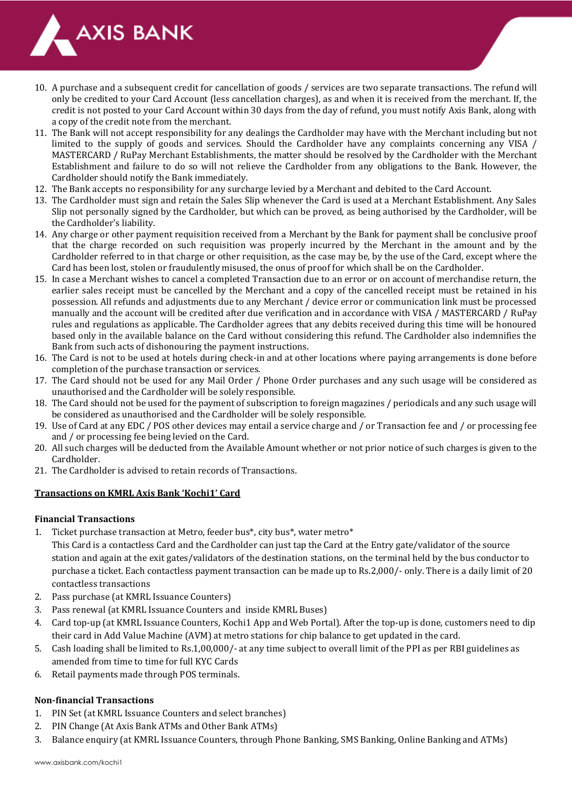

- 10. A purchase and a subsequent credit for cancellation of goods / services are two separate transactions. The refund will only be credited to your Card Account (less cancellation charges), as and when it is received from the merchant. If, the credit is not posted to your Card Account within 30 days from the day of refund, you must notify Axis Bank, along with a copy of the credit note from the merchant.
- 11. The Bank will not accept responsibility for any dealings the Cardholder may have with the Merchant including but not limited to the supply of goods and services. Should the Cardholder have any complaints concerning any VISA / MASTERCARD / RuPay Merchant Establishments, the matter should be resolved by the Cardholder with the Merchant Establishment and failure to do so will not relieve the Cardholder from any obligations to the Bank. However, the Cardholder should notify the Bank immediately.
- 12. The Bank accepts no responsibility for any surcharge levied by a Merchant and debited to the Card Account.
- 13. The Cardholder must sign and retain the Sales Slip whenever the Card is used at a Merchant Establishment. Any Sales Slip not personally signed by the Cardholder, but which can be proved, as being authorised by the Cardholder, will be the Cardholder's liability.
- 14. Any charge or other payment requisition received from a Merchant by the Bank for payment shall be conclusive proof that the charge recorded on such requisition was properly incurred by the Merchant in the amount and by the Cardholder referred to in that charge or other requisition, as the case may be, by the use of the Card, except where the Card has been lost, stolen or fraudulently misused, the onus of proof for which shall be on the Cardholder.
- 15. In case a Merchant wishes to cancel a completed Transaction due to an error or on account of merchandise return, the earlier sales receipt must be cancelled by the Merchant and a copy of the cancelled receipt must be retained in his possession. All refunds and adjustments due to any Merchant / device error or communication link must be processed manually and the account will be credited after due verification and in accordance with VISA / MASTERCARD / RuPay rules and regulations as applicable. The Cardholder agrees that any debits received during this time will be honoured based only in the available balance on the Card without considering this refund. The Cardholder also indemnifies the Bank from such acts of dishonouring the payment instructions.
- 16. The Card is not to be used at hotels during check-in and at other locations where paying arrangements is done before completion of the purchase transaction or services.
- 17. The Card should not be used for any Mail Order / Phone Order purchases and any such usage will be considered as unauthorised and the Cardholder will be solely responsible.
- 18. The Card should not be used for the payment of subscription to foreign magazines / periodicals and any such usage will be considered as unauthorised and the Cardholder will be solely responsible.
- 19. Use of Card at any EDC / POS other devices may entail a service charge and / or Transaction fee and / or processing fee and / or processing fee being levied on the Card.
- 20. All such charges will be deducted from the Available Amount whether or not prior notice of such charges is given to the Cardholder.
- 21. The Cardholder is advised to retain records of Transactions.

# **Transactions on KMRL Axis Bank 'Kochi1' Card**

## **Financial Transactions**

1. Ticket purchase transaction at Metro, feeder bus\*, city bus\*, water metro\*

This Card is a contactless Card and the Cardholder can just tap the Card at the Entry gate/validator of the source station and again at the exit gates/validators of the destination stations, on the terminal held by the bus conductor to purchase a ticket. Each contactless payment transaction can be made up to Rs.2,000/- only. There is a daily limit of 20 contactless transactions

- 2. Pass purchase (at KMRL Issuance Counters)
- 3. Pass renewal (at KMRL Issuance Counters and inside KMRL Buses)
- 4. Card top-up (at KMRL Issuance Counters, Kochi1 App and Web Portal). After the top-up is done, customers need to dip their card in Add Value Machine (AVM) at metro stations for chip balance to get updated in the card.
- 5. Cash loading shall be limited to Rs.1,00,000/- at any time subject to overall limit of the PPI as per RBI guidelines as amended from time to time for full KYC Cards
- 6. Retail payments made through POS terminals.

# **Non-financial Transactions**

- 1. PIN Set (at KMRL Issuance Counters and select branches)
- 2. PIN Change (At Axis Bank ATMs and Other Bank ATMs)
- 3. Balance enquiry (at KMRL Issuance Counters, through Phone Banking, SMS Banking, Online Banking and ATMs)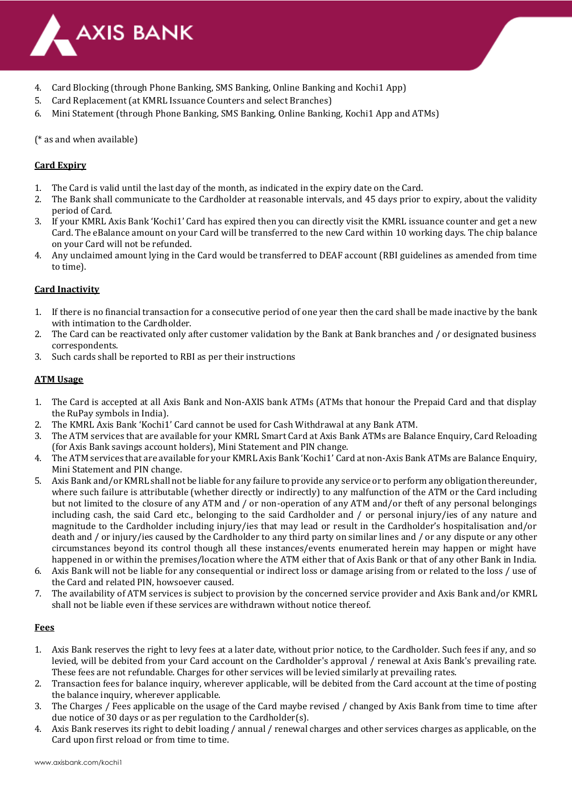

- 4. Card Blocking (through Phone Banking, SMS Banking, Online Banking and Kochi1 App)
- 5. Card Replacement (at KMRL Issuance Counters and select Branches)
- 6. Mini Statement (through Phone Banking, SMS Banking, Online Banking, Kochi1 App and ATMs)

(\* as and when available)

# **Card Expiry**

- 1. The Card is valid until the last day of the month, as indicated in the expiry date on the Card.
- 2. The Bank shall communicate to the Cardholder at reasonable intervals, and 45 days prior to expiry, about the validity period of Card.
- 3. If your KMRL Axis Bank 'Kochi1' Card has expired then you can directly visit the KMRL issuance counter and get a new Card. The eBalance amount on your Card will be transferred to the new Card within 10 working days. The chip balance on your Card will not be refunded.
- 4. Any unclaimed amount lying in the Card would be transferred to DEAF account (RBI guidelines as amended from time to time).

# **Card Inactivity**

- 1. If there is no financial transaction for a consecutive period of one year then the card shall be made inactive by the bank with intimation to the Cardholder.
- 2. The Card can be reactivated only after customer validation by the Bank at Bank branches and / or designated business correspondents.
- 3. Such cards shall be reported to RBI as per their instructions

# **ATM Usage**

- 1. The Card is accepted at all Axis Bank and Non-AXIS bank ATMs (ATMs that honour the Prepaid Card and that display the RuPay symbols in India).
- 2. The KMRL Axis Bank 'Kochi1' Card cannot be used for Cash Withdrawal at any Bank ATM.
- 3. The ATM services that are available for your KMRL Smart Card at Axis Bank ATMs are Balance Enquiry, Card Reloading (for Axis Bank savings account holders), Mini Statement and PIN change.
- 4. The ATM services that are available for your KMRL Axis Bank 'Kochi1' Card at non-Axis Bank ATMs are Balance Enquiry, Mini Statement and PIN change.
- 5. Axis Bank and/or KMRL shall not be liable for any failure to provide any service or to perform any obligation thereunder, where such failure is attributable (whether directly or indirectly) to any malfunction of the ATM or the Card including but not limited to the closure of any ATM and / or non-operation of any ATM and/or theft of any personal belongings including cash, the said Card etc., belonging to the said Cardholder and / or personal injury/ies of any nature and magnitude to the Cardholder including injury/ies that may lead or result in the Cardholder's hospitalisation and/or death and / or injury/ies caused by the Cardholder to any third party on similar lines and / or any dispute or any other circumstances beyond its control though all these instances/events enumerated herein may happen or might have happened in or within the premises/location where the ATM either that of Axis Bank or that of any other Bank in India.
- 6. Axis Bank will not be liable for any consequential or indirect loss or damage arising from or related to the loss / use of the Card and related PIN, howsoever caused.
- 7. The availability of ATM services is subject to provision by the concerned service provider and Axis Bank and/or KMRL shall not be liable even if these services are withdrawn without notice thereof.

## **Fees**

- 1. Axis Bank reserves the right to levy fees at a later date, without prior notice, to the Cardholder. Such fees if any, and so levied, will be debited from your Card account on the Cardholder's approval / renewal at Axis Bank's prevailing rate. These fees are not refundable. Charges for other services will be levied similarly at prevailing rates.
- 2. Transaction fees for balance inquiry, wherever applicable, will be debited from the Card account at the time of posting the balance inquiry, wherever applicable.
- 3. The Charges / Fees applicable on the usage of the Card maybe revised / changed by Axis Bank from time to time after due notice of 30 days or as per regulation to the Cardholder(s).
- 4. Axis Bank reserves its right to debit loading / annual / renewal charges and other services charges as applicable, on the Card upon first reload or from time to time.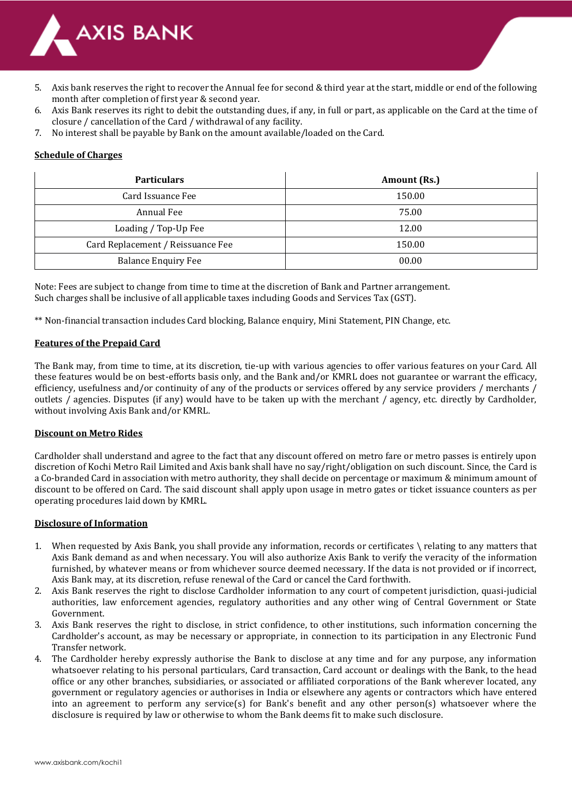

- 5. Axis bank reserves the right to recover the Annual fee for second & third year at the start, middle or end of the following month after completion of first year & second year.
- 6. Axis Bank reserves its right to debit the outstanding dues, if any, in full or part, as applicable on the Card at the time of closure / cancellation of the Card / withdrawal of any facility.
- 7. No interest shall be payable by Bank on the amount available/loaded on the Card.

# **Schedule of Charges**

| <b>Particulars</b>                | Amount (Rs.) |
|-----------------------------------|--------------|
| Card Issuance Fee                 | 150.00       |
| Annual Fee                        | 75.00        |
| Loading / Top-Up Fee              | 12.00        |
| Card Replacement / Reissuance Fee | 150.00       |
| <b>Balance Enquiry Fee</b>        | 00.00        |

Note: Fees are subject to change from time to time at the discretion of Bank and Partner arrangement. Such charges shall be inclusive of all applicable taxes including Goods and Services Tax (GST).

\*\* Non-financial transaction includes Card blocking, Balance enquiry, Mini Statement, PIN Change, etc.

## **Features of the Prepaid Card**

The Bank may, from time to time, at its discretion, tie-up with various agencies to offer various features on your Card. All these features would be on best-efforts basis only, and the Bank and/or KMRL does not guarantee or warrant the efficacy, efficiency, usefulness and/or continuity of any of the products or services offered by any service providers / merchants / outlets / agencies. Disputes (if any) would have to be taken up with the merchant / agency, etc. directly by Cardholder, without involving Axis Bank and/or KMRL.

## **Discount on Metro Rides**

Cardholder shall understand and agree to the fact that any discount offered on metro fare or metro passes is entirely upon discretion of Kochi Metro Rail Limited and Axis bank shall have no say/right/obligation on such discount. Since, the Card is a Co-branded Card in association with metro authority, they shall decide on percentage or maximum & minimum amount of discount to be offered on Card. The said discount shall apply upon usage in metro gates or ticket issuance counters as per operating procedures laid down by KMRL.

## **Disclosure of Information**

- 1. When requested by Axis Bank, you shall provide any information, records or certificates \ relating to any matters that Axis Bank demand as and when necessary. You will also authorize Axis Bank to verify the veracity of the information furnished, by whatever means or from whichever source deemed necessary. If the data is not provided or if incorrect, Axis Bank may, at its discretion, refuse renewal of the Card or cancel the Card forthwith.
- 2. Axis Bank reserves the right to disclose Cardholder information to any court of competent jurisdiction, quasi-judicial authorities, law enforcement agencies, regulatory authorities and any other wing of Central Government or State Government.
- 3. Axis Bank reserves the right to disclose, in strict confidence, to other institutions, such information concerning the Cardholder's account, as may be necessary or appropriate, in connection to its participation in any Electronic Fund Transfer network.
- 4. The Cardholder hereby expressly authorise the Bank to disclose at any time and for any purpose, any information whatsoever relating to his personal particulars, Card transaction, Card account or dealings with the Bank, to the head office or any other branches, subsidiaries, or associated or affiliated corporations of the Bank wherever located, any government or regulatory agencies or authorises in India or elsewhere any agents or contractors which have entered into an agreement to perform any service(s) for Bank's benefit and any other person(s) whatsoever where the disclosure is required by law or otherwise to whom the Bank deems fit to make such disclosure.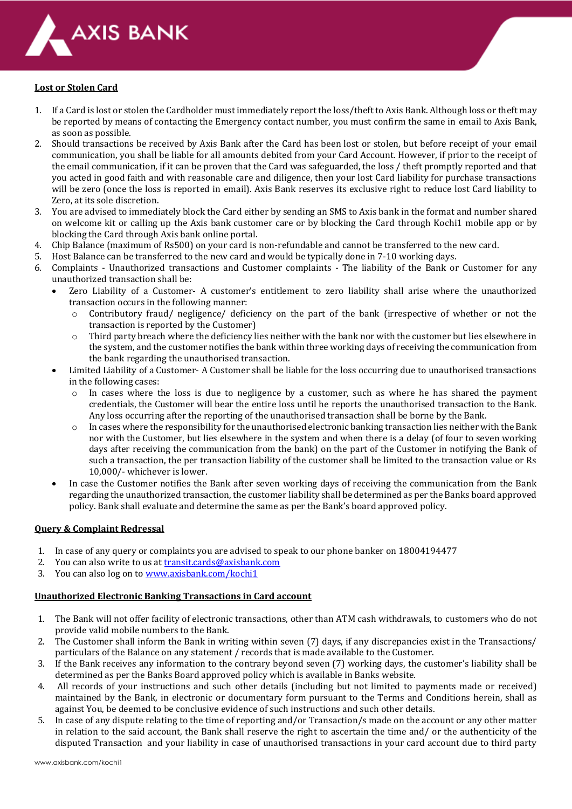

## **Lost or Stolen Card**

- 1. If a Card is lost or stolen the Cardholder must immediately report the loss/theft to Axis Bank. Although loss or theft may be reported by means of contacting the Emergency contact number, you must confirm the same in email to Axis Bank, as soon as possible.
- 2. Should transactions be received by Axis Bank after the Card has been lost or stolen, but before receipt of your email communication, you shall be liable for all amounts debited from your Card Account. However, if prior to the receipt of the email communication, if it can be proven that the Card was safeguarded, the loss / theft promptly reported and that you acted in good faith and with reasonable care and diligence, then your lost Card liability for purchase transactions will be zero (once the loss is reported in email). Axis Bank reserves its exclusive right to reduce lost Card liability to Zero, at its sole discretion.
- 3. You are advised to immediately block the Card either by sending an SMS to Axis bank in the format and number shared on welcome kit or calling up the Axis bank customer care or by blocking the Card through Kochi1 mobile app or by blocking the Card through Axis bank online portal.
- 4. Chip Balance (maximum of Rs500) on your card is non-refundable and cannot be transferred to the new card.
- 5. Host Balance can be transferred to the new card and would be typically done in 7-10 working days.
- 6. Complaints Unauthorized transactions and Customer complaints The liability of the Bank or Customer for any unauthorized transaction shall be:
	- Zero Liability of a Customer- A customer's entitlement to zero liability shall arise where the unauthorized transaction occurs in the following manner:
		- $\circ$  Contributory fraud/ negligence/ deficiency on the part of the bank (irrespective of whether or not the transaction is reported by the Customer)
		- $\circ$  Third party breach where the deficiency lies neither with the bank nor with the customer but lies elsewhere in the system, and the customer notifies the bank within three working days of receiving the communication from the bank regarding the unauthorised transaction.
	- Limited Liability of a Customer- A Customer shall be liable for the loss occurring due to unauthorised transactions in the following cases:
		- $\circ$  In cases where the loss is due to negligence by a customer, such as where he has shared the payment credentials, the Customer will bear the entire loss until he reports the unauthorised transaction to the Bank. Any loss occurring after the reporting of the unauthorised transaction shall be borne by the Bank.
		- $\circ$  In cases where the responsibility for the unauthorised electronic banking transaction lies neither with the Bank nor with the Customer, but lies elsewhere in the system and when there is a delay (of four to seven working days after receiving the communication from the bank) on the part of the Customer in notifying the Bank of such a transaction, the per transaction liability of the customer shall be limited to the transaction value or Rs 10,000/- whichever is lower.
	- In case the Customer notifies the Bank after seven working days of receiving the communication from the Bank regarding the unauthorized transaction, the customer liability shall be determined as per the Banks board approved policy. Bank shall evaluate and determine the same as per the Bank's board approved policy.

## **Query & Complaint Redressal**

- 1. In case of any query or complaints you are advised to speak to our phone banker on 18004194477
- 2. You can also write to us at [transit.cards@axisbank.com](mailto:transit.cards@axisbank.com)
- 3. You can also log on t[o www.axisbank.com/kochi1](http://www.axisbank.com/kochi1)

## **Unauthorized Electronic Banking Transactions in Card account**

- 1. The Bank will not offer facility of electronic transactions, other than ATM cash withdrawals, to customers who do not provide valid mobile numbers to the Bank.
- 2. The Customer shall inform the Bank in writing within seven (7) days, if any discrepancies exist in the Transactions/ particulars of the Balance on any statement / records that is made available to the Customer.
- 3. If the Bank receives any information to the contrary beyond seven (7) working days, the customer's liability shall be determined as per the Banks Board approved policy which is available in Banks website.
- 4. All records of your instructions and such other details (including but not limited to payments made or received) maintained by the Bank, in electronic or documentary form pursuant to the Terms and Conditions herein, shall as against You, be deemed to be conclusive evidence of such instructions and such other details.
- 5. In case of any dispute relating to the time of reporting and/or Transaction/s made on the account or any other matter in relation to the said account, the Bank shall reserve the right to ascertain the time and/ or the authenticity of the disputed Transaction and your liability in case of unauthorised transactions in your card account due to third party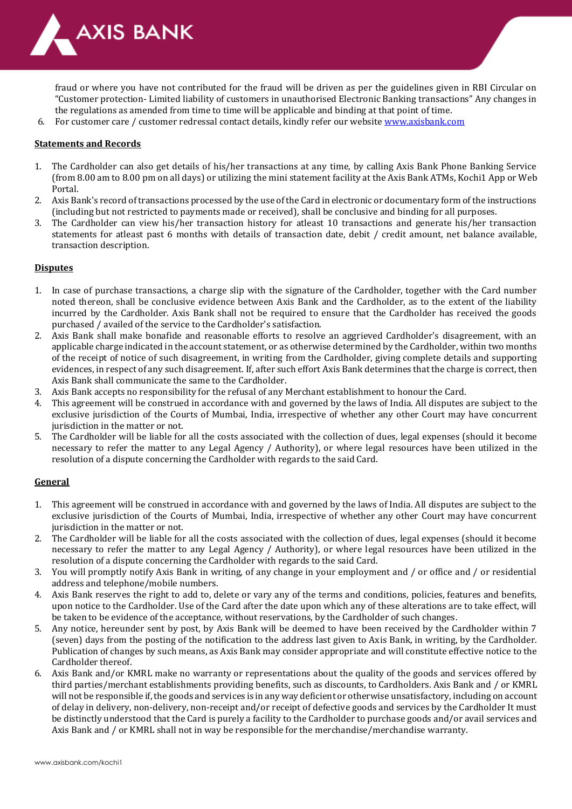

fraud or where you have not contributed for the fraud will be driven as per the guidelines given in RBI Circular on "Customer protection- Limited liability of customers in unauthorised Electronic Banking transactions" Any changes in the regulations as amended from time to time will be applicable and binding at that point of time.

6. For customer care / customer redressal contact details, kindly refer our websit[e www.axisbank.com](http://www.axisbank.com/)

#### **Statements and Records**

- 1. The Cardholder can also get details of his/her transactions at any time, by calling Axis Bank Phone Banking Service (from 8.00 am to 8.00 pm on all days) or utilizing the mini statement facility at the Axis Bank ATMs, Kochi1 App or Web Portal.
- 2. Axis Bank's record of transactions processed by the use of the Card in electronic or documentary form of the instructions (including but not restricted to payments made or received), shall be conclusive and binding for all purposes.
- 3. The Cardholder can view his/her transaction history for atleast 10 transactions and generate his/her transaction statements for atleast past 6 months with details of transaction date, debit / credit amount, net balance available, transaction description.

#### **Disputes**

- 1. In case of purchase transactions, a charge slip with the signature of the Cardholder, together with the Card number noted thereon, shall be conclusive evidence between Axis Bank and the Cardholder, as to the extent of the liability incurred by the Cardholder. Axis Bank shall not be required to ensure that the Cardholder has received the goods purchased / availed of the service to the Cardholder's satisfaction.
- 2. Axis Bank shall make bonafide and reasonable efforts to resolve an aggrieved Cardholder's disagreement, with an applicable charge indicated in the account statement, or as otherwise determined by the Cardholder, within two months of the receipt of notice of such disagreement, in writing from the Cardholder, giving complete details and supporting evidences, in respect of any such disagreement. If, after such effort Axis Bank determines that the charge is correct, then Axis Bank shall communicate the same to the Cardholder.
- 3. Axis Bank accepts no responsibility for the refusal of any Merchant establishment to honour the Card.
- 4. This agreement will be construed in accordance with and governed by the laws of India. All disputes are subject to the exclusive jurisdiction of the Courts of Mumbai, India, irrespective of whether any other Court may have concurrent jurisdiction in the matter or not.
- 5. The Cardholder will be liable for all the costs associated with the collection of dues, legal expenses (should it become necessary to refer the matter to any Legal Agency / Authority), or where legal resources have been utilized in the resolution of a dispute concerning the Cardholder with regards to the said Card.

## **General**

- 1. This agreement will be construed in accordance with and governed by the laws of India. All disputes are subject to the exclusive jurisdiction of the Courts of Mumbai, India, irrespective of whether any other Court may have concurrent jurisdiction in the matter or not.
- 2. The Cardholder will be liable for all the costs associated with the collection of dues, legal expenses (should it become necessary to refer the matter to any Legal Agency / Authority), or where legal resources have been utilized in the resolution of a dispute concerning the Cardholder with regards to the said Card.
- 3. You will promptly notify Axis Bank in writing, of any change in your employment and / or office and / or residential address and telephone/mobile numbers.
- 4. Axis Bank reserves the right to add to, delete or vary any of the terms and conditions, policies, features and benefits, upon notice to the Cardholder. Use of the Card after the date upon which any of these alterations are to take effect, will be taken to be evidence of the acceptance, without reservations, by the Cardholder of such changes.
- 5. Any notice, hereunder sent by post, by Axis Bank will be deemed to have been received by the Cardholder within 7 (seven) days from the posting of the notification to the address last given to Axis Bank, in writing, by the Cardholder. Publication of changes by such means, as Axis Bank may consider appropriate and will constitute effective notice to the Cardholder thereof.
- 6. Axis Bank and/or KMRL make no warranty or representations about the quality of the goods and services offered by third parties/merchant establishments providing benefits, such as discounts, to Cardholders. Axis Bank and / or KMRL will not be responsible if, the goods and services is in any way deficient or otherwise unsatisfactory, including on account of delay in delivery, non-delivery, non-receipt and/or receipt of defective goods and services by the Cardholder It must be distinctly understood that the Card is purely a facility to the Cardholder to purchase goods and/or avail services and Axis Bank and / or KMRL shall not in way be responsible for the merchandise/merchandise warranty.